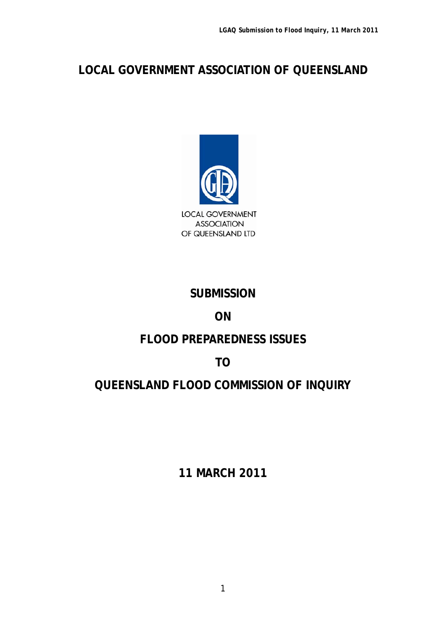# **LOCAL GOVERNMENT ASSOCIATION OF QUEENSLAND**



#### **SUBMISSION**

**ON** 

#### **FLOOD PREPAREDNESS ISSUES**

**TO** 

# **QUEENSLAND FLOOD COMMISSION OF INQUIRY**

**11 MARCH 2011**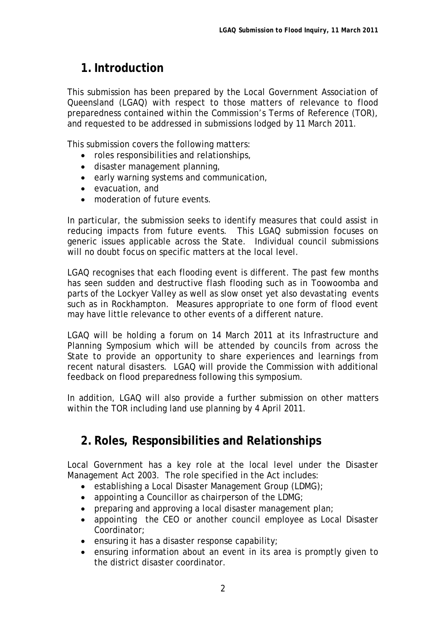### **1.Introduction**

This submission has been prepared by the Local Government Association of Queensland (LGAQ) with respect to those matters of relevance to flood preparedness contained within the Commission's Terms of Reference (TOR), and requested to be addressed in submissions lodged by 11 March 2011.

This submission covers the following matters:

- roles responsibilities and relationships,
- disaster management planning,
- early warning systems and communication,
- evacuation, and
- moderation of future events.

In particular, the submission seeks to identify measures that could assist in reducing impacts from future events. This LGAQ submission focuses on generic issues applicable across the State. Individual council submissions will no doubt focus on specific matters at the local level.

LGAQ recognises that each flooding event is different. The past few months has seen sudden and destructive flash flooding such as in Toowoomba and parts of the Lockyer Valley as well as slow onset yet also devastating events such as in Rockhampton. Measures appropriate to one form of flood event may have little relevance to other events of a different nature.

LGAQ will be holding a forum on 14 March 2011 at its Infrastructure and Planning Symposium which will be attended by councils from across the State to provide an opportunity to share experiences and learnings from recent natural disasters. LGAQ will provide the Commission with additional feedback on flood preparedness following this symposium.

In addition, LGAQ will also provide a further submission on other matters within the TOR including land use planning by 4 April 2011.

#### **2. Roles, Responsibilities and Relationships**

Local Government has a key role at the local level under the *Disaster Management Act 2003*. The role specified in the Act includes:

- **e** establishing a Local Disaster Management Group (LDMG);
- appointing a Councillor as chairperson of the LDMG;
- preparing and approving a local disaster management plan;
- appointing the CEO or another council employee as Local Disaster Coordinator;
- $\bullet$  ensuring it has a disaster response capability;
- ensuring information about an event in its area is promptly given to the district disaster coordinator.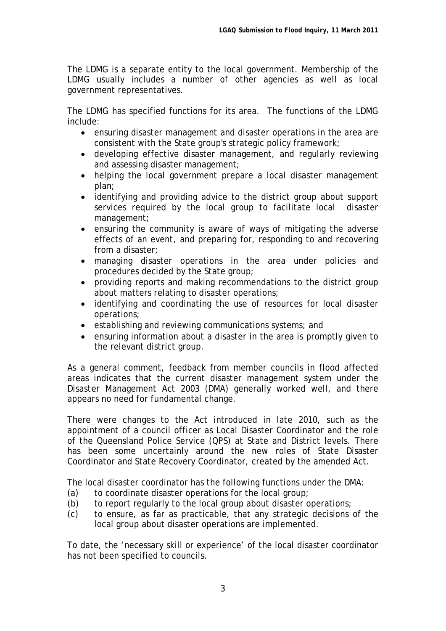The LDMG is a separate entity to the local government. Membership of the LDMG usually includes a number of other agencies as well as local government representatives.

The LDMG has specified functions for its area. The functions of the LDMG include:

- ensuring disaster management and disaster operations in the area are consistent with the State group's strategic policy framework;
- developing effective disaster management, and regularly reviewing and assessing disaster management;
- helping the local government prepare a local disaster management plan;
- identifying and providing advice to the district group about support services required by the local group to facilitate local disaster management;
- ensuring the community is aware of ways of mitigating the adverse effects of an event, and preparing for, responding to and recovering from a disaster;
- managing disaster operations in the area under policies and procedures decided by the State group;
- providing reports and making recommendations to the district group about matters relating to disaster operations;
- identifying and coordinating the use of resources for local disaster operations;
- establishing and reviewing communications systems; and
- ensuring information about a disaster in the area is promptly given to the relevant district group.

As a general comment, feedback from member councils in flood affected areas indicates that the current disaster management system under the *Disaster Management Act 2003* (DMA) generally worked well, and there appears no need for fundamental change.

There were changes to the Act introduced in late 2010, such as the appointment of a council officer as Local Disaster Coordinator and the role of the Queensland Police Service (QPS) at State and District levels. There has been some uncertainly around the new roles of State Disaster Coordinator and State Recovery Coordinator, created by the amended Act.

The local disaster coordinator has the following functions under the DMA:

- (a) to coordinate disaster operations for the local group;
- (b) to report regularly to the local group about disaster operations;
- (c) to ensure, as far as practicable, that any strategic decisions of the local group about disaster operations are implemented.

To date, the 'necessary skill or experience' of the local disaster coordinator has not been specified to councils.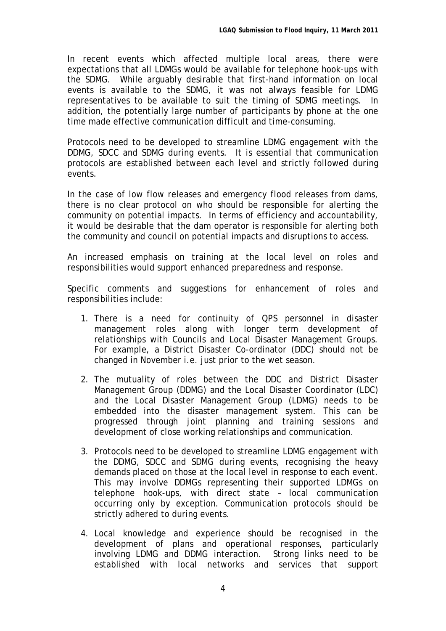In recent events which affected multiple local areas, there were expectations that all LDMGs would be available for telephone hook-ups with the SDMG. While arguably desirable that first-hand information on local events is available to the SDMG, it was not always feasible for LDMG representatives to be available to suit the timing of SDMG meetings. In addition, the potentially large number of participants by phone at the one time made effective communication difficult and time-consuming.

Protocols need to be developed to streamline LDMG engagement with the DDMG, SDCC and SDMG during events. It is essential that communication protocols are established between each level and strictly followed during events.

In the case of low flow releases and emergency flood releases from dams, there is no clear protocol on who should be responsible for alerting the community on potential impacts. In terms of efficiency and accountability, it would be desirable that the dam operator is responsible for alerting both the community and council on potential impacts and disruptions to access.

An increased emphasis on training at the local level on roles and responsibilities would support enhanced preparedness and response.

Specific comments and suggestions for enhancement of roles and responsibilities include:

- 1. There is a need for continuity of QPS personnel in disaster management roles along with longer term development of relationships with Councils and Local Disaster Management Groups. For example, a District Disaster Co-ordinator (DDC) should not be changed in November i.e. just prior to the wet season.
- 2. The mutuality of roles between the DDC and District Disaster Management Group (DDMG) and the Local Disaster Coordinator (LDC) and the Local Disaster Management Group (LDMG) needs to be embedded into the disaster management system. This can be progressed through joint planning and training sessions and development of close working relationships and communication.
- 3. Protocols need to be developed to streamline LDMG engagement with the DDMG, SDCC and SDMG during events, recognising the heavy demands placed on those at the local level in response to each event. This may involve DDMGs representing their supported LDMGs on telephone hook-ups, with direct state – local communication occurring only by exception. Communication protocols should be strictly adhered to during events.
- 4. Local knowledge and experience should be recognised in the development of plans and operational responses, particularly involving LDMG and DDMG interaction. Strong links need to be established with local networks and services that support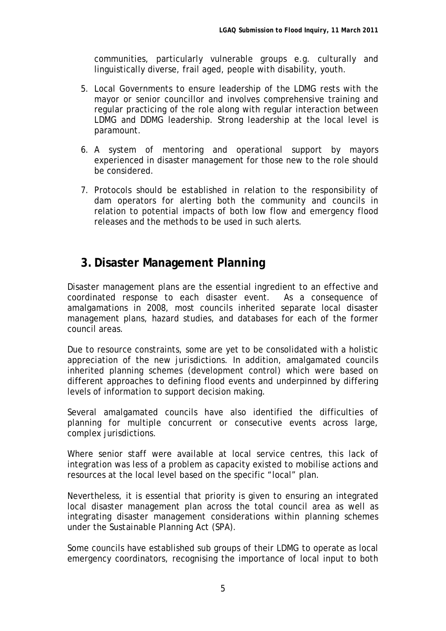communities, particularly vulnerable groups e.g. culturally and linguistically diverse, frail aged, people with disability, youth.

- 5. Local Governments to ensure leadership of the LDMG rests with the mayor or senior councillor and involves comprehensive training and regular practicing of the role along with regular interaction between LDMG and DDMG leadership. Strong leadership at the local level is paramount.
- 6. A system of mentoring and operational support by mayors experienced in disaster management for those new to the role should be considered.
- 7. Protocols should be established in relation to the responsibility of dam operators for alerting both the community and councils in relation to potential impacts of both low flow and emergency flood releases and the methods to be used in such alerts.

#### **3. Disaster Management Planning**

Disaster management plans are the essential ingredient to an effective and coordinated response to each disaster event. As a consequence of amalgamations in 2008, most councils inherited separate local disaster management plans, hazard studies, and databases for each of the former council areas.

Due to resource constraints, some are yet to be consolidated with a holistic appreciation of the new jurisdictions. In addition, amalgamated councils inherited planning schemes (development control) which were based on different approaches to defining flood events and underpinned by differing levels of information to support decision making.

Several amalgamated councils have also identified the difficulties of planning for multiple concurrent or consecutive events across large, complex jurisdictions.

Where senior staff were available at local service centres, this lack of integration was less of a problem as capacity existed to mobilise actions and resources at the local level based on the specific "local" plan.

Nevertheless, it is essential that priority is given to ensuring an integrated local disaster management plan across the total council area as well as integrating disaster management considerations within planning schemes under the *Sustainable Planning Act* (SPA).

Some councils have established sub groups of their LDMG to operate as local emergency coordinators, recognising the importance of local input to both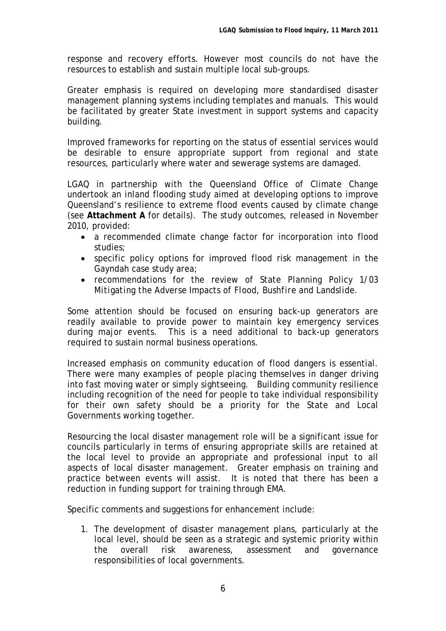response and recovery efforts. However most councils do not have the resources to establish and sustain multiple local sub-groups.

Greater emphasis is required on developing more standardised disaster management planning systems including templates and manuals. This would be facilitated by greater State investment in support systems and capacity building.

Improved frameworks for reporting on the status of essential services would be desirable to ensure appropriate support from regional and state resources, particularly where water and sewerage systems are damaged.

LGAQ in partnership with the Queensland Office of Climate Change undertook an inland flooding study aimed at developing options to improve Queensland's resilience to extreme flood events caused by climate change (see **Attachment A** for details). The study outcomes, released in November 2010, provided:

- a recommended climate change factor for incorporation into flood studies;
- specific policy options for improved flood risk management in the Gayndah case study area;
- recommendations for the review of State Planning Policy 1/03 *Mitigating the Adverse Impacts of Flood, Bushfire and Landslide*.

Some attention should be focused on ensuring back-up generators are readily available to provide power to maintain key emergency services during major events. This is a need additional to back-up generators required to sustain normal business operations.

Increased emphasis on community education of flood dangers is essential. There were many examples of people placing themselves in danger driving into fast moving water or simply sightseeing. Building community resilience including recognition of the need for people to take individual responsibility for their own safety should be a priority for the State and Local Governments working together.

Resourcing the local disaster management role will be a significant issue for councils particularly in terms of ensuring appropriate skills are retained at the local level to provide an appropriate and professional input to all aspects of local disaster management. Greater emphasis on training and practice between events will assist. It is noted that there has been a reduction in funding support for training through EMA.

Specific comments and suggestions for enhancement include:

1. The development of disaster management plans, particularly at the local level, should be seen as a strategic and systemic priority within the overall risk awareness, assessment and governance responsibilities of local governments.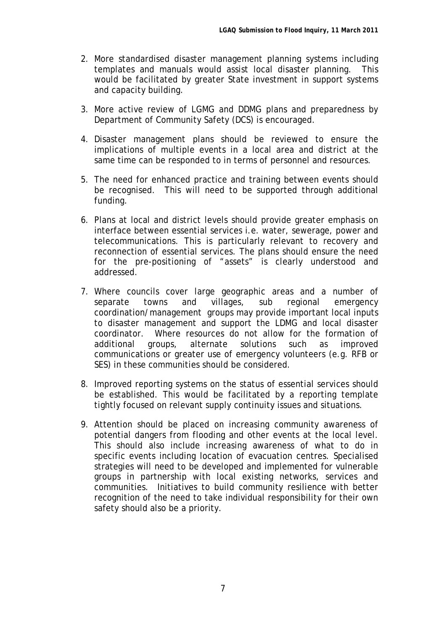- 2. More standardised disaster management planning systems including templates and manuals would assist local disaster planning. This would be facilitated by greater State investment in support systems and capacity building.
- 3. More active review of LGMG and DDMG plans and preparedness by Department of Community Safety (DCS) is encouraged.
- 4. Disaster management plans should be reviewed to ensure the implications of multiple events in a local area and district at the same time can be responded to in terms of personnel and resources.
- 5. The need for enhanced practice and training between events should be recognised. This will need to be supported through additional funding.
- 6. Plans at local and district levels should provide greater emphasis on interface between essential services i.e. water, sewerage, power and telecommunications. This is particularly relevant to recovery and reconnection of essential services. The plans should ensure the need for the pre-positioning of "assets" is clearly understood and addressed.
- 7. Where councils cover large geographic areas and a number of separate towns and villages, sub regional emergency coordination/management groups may provide important local inputs to disaster management and support the LDMG and local disaster coordinator. Where resources do not allow for the formation of additional groups, alternate solutions such as improved communications or greater use of emergency volunteers (e.g. RFB or SES) in these communities should be considered.
- 8. Improved reporting systems on the status of essential services should be established. This would be facilitated by a reporting template tightly focused on relevant supply continuity issues and situations.
- 9. Attention should be placed on increasing community awareness of potential dangers from flooding and other events at the local level. This should also include increasing awareness of what to do in specific events including location of evacuation centres. Specialised strategies will need to be developed and implemented for vulnerable groups in partnership with local existing networks, services and communities. Initiatives to build community resilience with better recognition of the need to take individual responsibility for their own safety should also be a priority.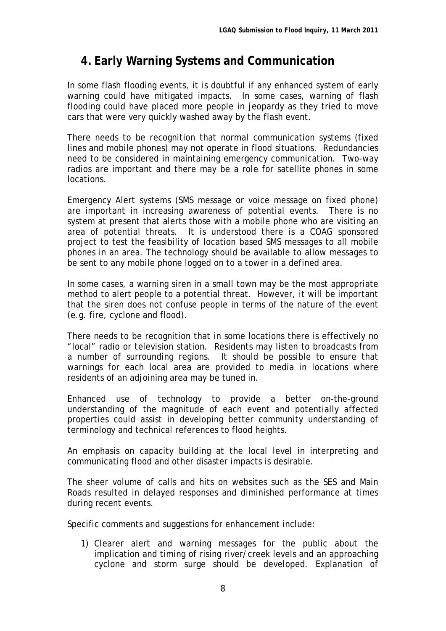### **4. Early Warning Systems and Communication**

In some flash flooding events, it is doubtful if any enhanced system of early warning could have mitigated impacts. In some cases, warning of flash flooding could have placed more people in jeopardy as they tried to move cars that were very quickly washed away by the flash event.

There needs to be recognition that normal communication systems (fixed lines and mobile phones) may not operate in flood situations. Redundancies need to be considered in maintaining emergency communication. Two-way radios are important and there may be a role for satellite phones in some locations.

Emergency Alert systems (SMS message or voice message on fixed phone) are important in increasing awareness of potential events. There is no system at present that alerts those with a mobile phone who are visiting an area of potential threats. It is understood there is a COAG sponsored project to test the feasibility of location based SMS messages to all mobile phones in an area. The technology should be available to allow messages to be sent to any mobile phone logged on to a tower in a defined area.

In some cases, a warning siren in a small town may be the most appropriate method to alert people to a potential threat. However, it will be important that the siren does not confuse people in terms of the nature of the event (e.g. fire, cyclone and flood).

There needs to be recognition that in some locations there is effectively no "local" radio or television station. Residents may listen to broadcasts from a number of surrounding regions. It should be possible to ensure that warnings for each local area are provided to media in locations where residents of an adjoining area may be tuned in.

Enhanced use of technology to provide a better on-the-ground understanding of the magnitude of each event and potentially affected properties could assist in developing better community understanding of terminology and technical references to flood heights.

An emphasis on capacity building at the local level in interpreting and communicating flood and other disaster impacts is desirable.

The sheer volume of calls and hits on websites such as the SES and Main Roads resulted in delayed responses and diminished performance at times during recent events.

Specific comments and suggestions for enhancement include:

1) Clearer alert and warning messages for the public about the implication and timing of rising river/creek levels and an approaching cyclone and storm surge should be developed. Explanation of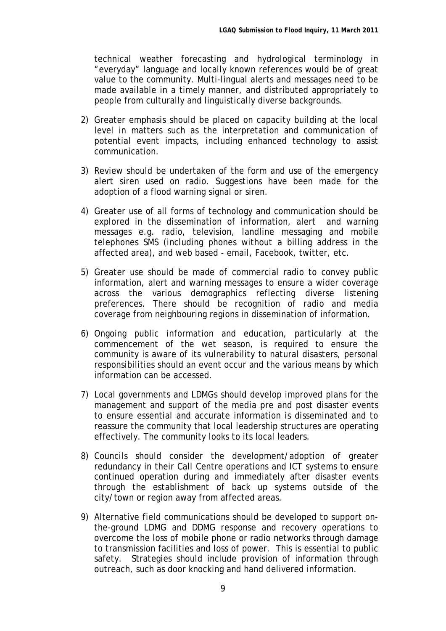technical weather forecasting and hydrological terminology in "everyday" language and locally known references would be of great value to the community. Multi-lingual alerts and messages need to be made available in a timely manner, and distributed appropriately to people from culturally and linguistically diverse backgrounds.

- 2) Greater emphasis should be placed on capacity building at the local level in matters such as the interpretation and communication of potential event impacts, including enhanced technology to assist communication.
- 3) Review should be undertaken of the form and use of the emergency alert siren used on radio. Suggestions have been made for the adoption of a flood warning signal or siren.
- 4) Greater use of all forms of technology and communication should be explored in the dissemination of information, alert and warning messages e.g. radio, television, landline messaging and mobile telephones SMS (including phones without a billing address in the affected area), and web based - email, Facebook, twitter, etc.
- 5) Greater use should be made of commercial radio to convey public information, alert and warning messages to ensure a wider coverage across the various demographics reflecting diverse listening preferences. There should be recognition of radio and media coverage from neighbouring regions in dissemination of information.
- 6) Ongoing public information and education, particularly at the commencement of the wet season, is required to ensure the community is aware of its vulnerability to natural disasters, personal responsibilities should an event occur and the various means by which information can be accessed.
- 7) Local governments and LDMGs should develop improved plans for the management and support of the media pre and post disaster events to ensure essential and accurate information is disseminated and to reassure the community that local leadership structures are operating effectively. The community looks to its local leaders.
- 8) Councils should consider the development/adoption of greater redundancy in their Call Centre operations and ICT systems to ensure continued operation during and immediately after disaster events through the establishment of back up systems outside of the city/town or region away from affected areas.
- 9) Alternative field communications should be developed to support onthe-ground LDMG and DDMG response and recovery operations to overcome the loss of mobile phone or radio networks through damage to transmission facilities and loss of power. This is essential to public safety. Strategies should include provision of information through outreach, such as door knocking and hand delivered information.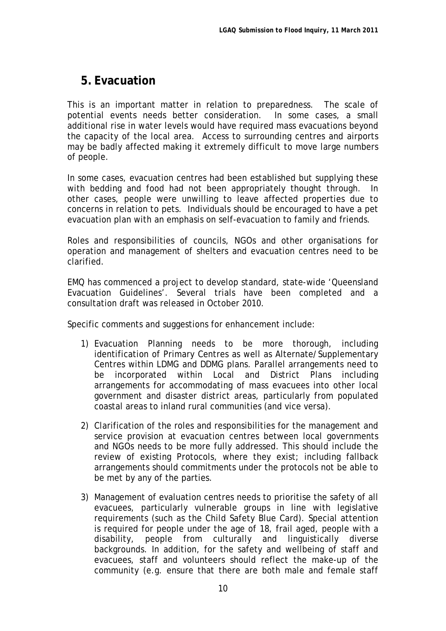#### **5. Evacuation**

This is an important matter in relation to preparedness. The scale of potential events needs better consideration. In some cases, a small additional rise in water levels would have required mass evacuations beyond the capacity of the local area. Access to surrounding centres and airports may be badly affected making it extremely difficult to move large numbers of people.

In some cases, evacuation centres had been established but supplying these with bedding and food had not been appropriately thought through. In other cases, people were unwilling to leave affected properties due to concerns in relation to pets. Individuals should be encouraged to have a pet evacuation plan with an emphasis on self-evacuation to family and friends.

Roles and responsibilities of councils, NGOs and other organisations for operation and management of shelters and evacuation centres need to be clarified.

EMQ has commenced a project to develop standard, state-wide 'Queensland Evacuation Guidelines'. Several trials have been completed and a consultation draft was released in October 2010.

Specific comments and suggestions for enhancement include:

- 1) Evacuation Planning needs to be more thorough, including identification of Primary Centres as well as Alternate/Supplementary Centres within LDMG and DDMG plans. Parallel arrangements need to be incorporated within Local and District Plans including arrangements for accommodating of mass evacuees into other local government and disaster district areas, particularly from populated coastal areas to inland rural communities (and vice versa).
- 2) Clarification of the roles and responsibilities for the management and service provision at evacuation centres between local governments and NGOs needs to be more fully addressed. This should include the review of existing Protocols, where they exist; including fallback arrangements should commitments under the protocols not be able to be met by any of the parties.
- 3) Management of evaluation centres needs to prioritise the safety of all evacuees, particularly vulnerable groups in line with legislative requirements (such as the Child Safety Blue Card). Special attention is required for people under the age of 18, frail aged, people with a disability, people from culturally and linguistically diverse backgrounds. In addition, for the safety and wellbeing of staff and evacuees, staff and volunteers should reflect the make-up of the community (e.g. ensure that there are both male and female staff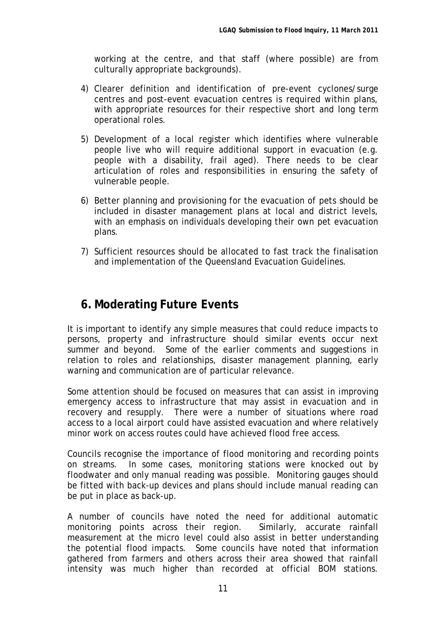working at the centre, and that staff (where possible) are from culturally appropriate backgrounds).

- 4) Clearer definition and identification of pre-event cyclones/surge centres and post-event evacuation centres is required within plans, with appropriate resources for their respective short and long term operational roles.
- 5) Development of a local register which identifies where vulnerable people live who will require additional support in evacuation (e.g. people with a disability, frail aged). There needs to be clear articulation of roles and responsibilities in ensuring the safety of vulnerable people.
- 6) Better planning and provisioning for the evacuation of pets should be included in disaster management plans at local and district levels, with an emphasis on individuals developing their own pet evacuation plans.
- 7) Sufficient resources should be allocated to fast track the finalisation and implementation of the Queensland Evacuation Guidelines.

#### **6. Moderating Future Events**

It is important to identify any simple measures that could reduce impacts to persons, property and infrastructure should similar events occur next summer and beyond. Some of the earlier comments and suggestions in relation to roles and relationships, disaster management planning, early warning and communication are of particular relevance.

Some attention should be focused on measures that can assist in improving emergency access to infrastructure that may assist in evacuation and in recovery and resupply. There were a number of situations where road access to a local airport could have assisted evacuation and where relatively minor work on access routes could have achieved flood free access.

Councils recognise the importance of flood monitoring and recording points on streams. In some cases, monitoring stations were knocked out by floodwater and only manual reading was possible. Monitoring gauges should be fitted with back-up devices and plans should include manual reading can be put in place as back-up.

A number of councils have noted the need for additional automatic monitoring points across their region. Similarly, accurate rainfall measurement at the micro level could also assist in better understanding the potential flood impacts. Some councils have noted that information gathered from farmers and others across their area showed that rainfall intensity was much higher than recorded at official BOM stations.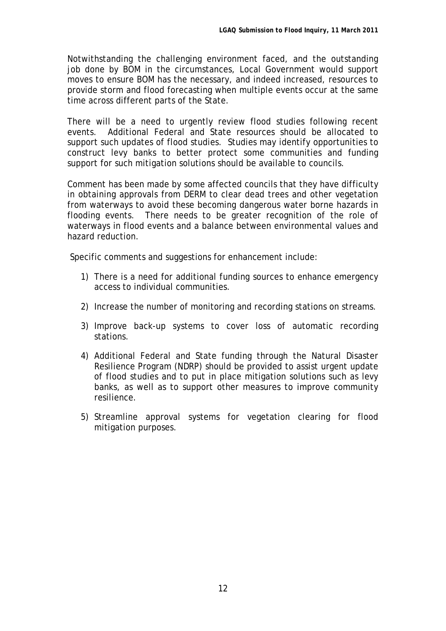Notwithstanding the challenging environment faced, and the outstanding job done by BOM in the circumstances, Local Government would support moves to ensure BOM has the necessary, and indeed increased, resources to provide storm and flood forecasting when multiple events occur at the same time across different parts of the State.

There will be a need to urgently review flood studies following recent events. Additional Federal and State resources should be allocated to support such updates of flood studies. Studies may identify opportunities to construct levy banks to better protect some communities and funding support for such mitigation solutions should be available to councils.

Comment has been made by some affected councils that they have difficulty in obtaining approvals from DERM to clear dead trees and other vegetation from waterways to avoid these becoming dangerous water borne hazards in flooding events. There needs to be greater recognition of the role of waterways in flood events and a balance between environmental values and hazard reduction.

Specific comments and suggestions for enhancement include:

- 1) There is a need for additional funding sources to enhance emergency access to individual communities.
- 2) Increase the number of monitoring and recording stations on streams.
- 3) Improve back-up systems to cover loss of automatic recording stations.
- 4) Additional Federal and State funding through the Natural Disaster Resilience Program (NDRP) should be provided to assist urgent update of flood studies and to put in place mitigation solutions such as levy banks, as well as to support other measures to improve community resilience.
- 5) Streamline approval systems for vegetation clearing for flood mitigation purposes.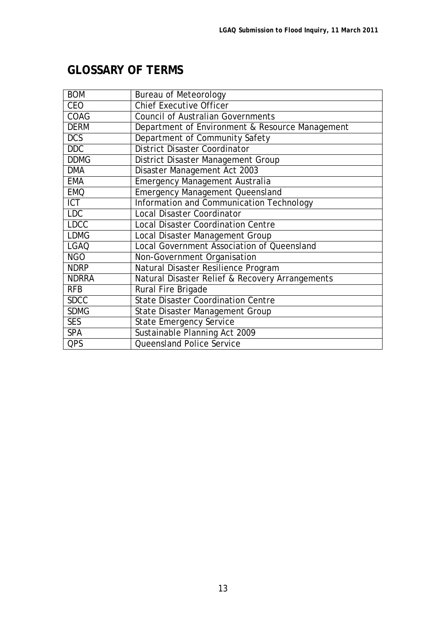# **GLOSSARY OF TERMS**

| <b>BOM</b>       | <b>Bureau of Meteorology</b>                    |
|------------------|-------------------------------------------------|
| <b>CEO</b>       | <b>Chief Executive Officer</b>                  |
| COAG             | <b>Council of Australian Governments</b>        |
| <b>DERM</b>      | Department of Environment & Resource Management |
| <b>DCS</b>       | Department of Community Safety                  |
| <b>DDC</b>       | <b>District Disaster Coordinator</b>            |
| <b>DDMG</b>      | District Disaster Management Group              |
| <b>DMA</b>       | Disaster Management Act 2003                    |
| <b>EMA</b>       | Emergency Management Australia                  |
| <b>EMQ</b>       | <b>Emergency Management Queensland</b>          |
| $\overline{ICT}$ | Information and Communication Technology        |
| <b>LDC</b>       | <b>Local Disaster Coordinator</b>               |
| <b>LDCC</b>      | <b>Local Disaster Coordination Centre</b>       |
| <b>LDMG</b>      | Local Disaster Management Group                 |
| <b>LGAQ</b>      | Local Government Association of Queensland      |
| <b>NGO</b>       | Non-Government Organisation                     |
| <b>NDRP</b>      | Natural Disaster Resilience Program             |
| <b>NDRRA</b>     | Natural Disaster Relief & Recovery Arrangements |
| <b>RFB</b>       | Rural Fire Brigade                              |
| SDC <sub>C</sub> | <b>State Disaster Coordination Centre</b>       |
| <b>SDMG</b>      | State Disaster Management Group                 |
| <b>SES</b>       | <b>State Emergency Service</b>                  |
| <b>SPA</b>       | Sustainable Planning Act 2009                   |
| <b>QPS</b>       | Queensland Police Service                       |